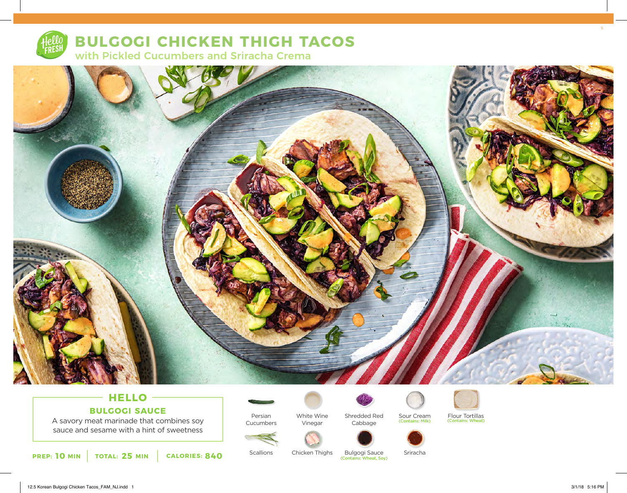

# **BULGOGI CHICKEN THIGH TACOS** with Pickled Cucumbers and Sriracha Crema



# **HELLO BULGOGI SAUCE**

A savory meat marinade that combines soy sauce and sesame with a hint of sweetness

**PREP:** 10 MIN TOTAL: 25 MIN CALORIES: 840 SCALIONS CHICKEN INIGHTS BUIGOGI SAUCE

Persian

Cucumbers

**Scallions** 



Vinegar

Chicken Thighs



Shredded Red Sour Cream Flour Tortillas Cabbage



**Bulgogi Sauce**<br>(Contains: Wheat, Soy)

Sriracha



12.5 Korean Bulgogi Chicken Tacos\_FAM\_NJ.indd 1 3/1/18 5:16 PM